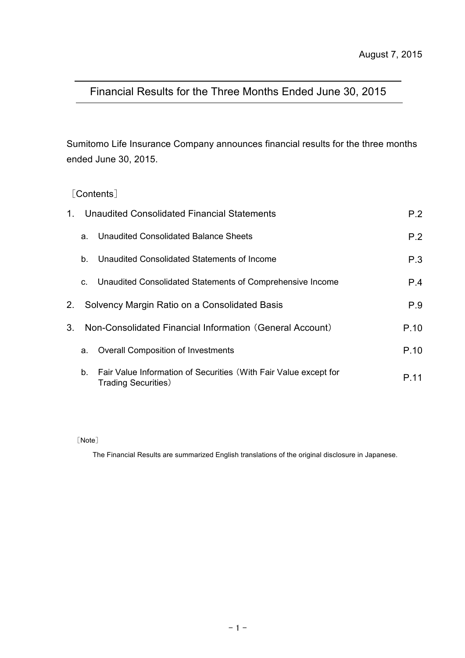# Financial Results for the Three Months Ended June 30, 2015

Sumitomo Life Insurance Company announces financial results for the three months ended June 30, 2015.

## [Contents]

| 1. |    | Unaudited Consolidated Financial Statements                                                     | P.2  |
|----|----|-------------------------------------------------------------------------------------------------|------|
|    | a. | Unaudited Consolidated Balance Sheets                                                           | P.2  |
|    | b. | Unaudited Consolidated Statements of Income                                                     | P.3  |
|    | C. | Unaudited Consolidated Statements of Comprehensive Income                                       | P.4  |
| 2. |    | Solvency Margin Ratio on a Consolidated Basis                                                   | P.9  |
| 3. |    | Non-Consolidated Financial Information (General Account)                                        | P.10 |
|    | a. | <b>Overall Composition of Investments</b>                                                       | P.10 |
|    | b. | Fair Value Information of Securities (With Fair Value except for<br><b>Trading Securities</b> ) | P 11 |

[Note]

The Financial Results are summarized English translations of the original disclosure in Japanese.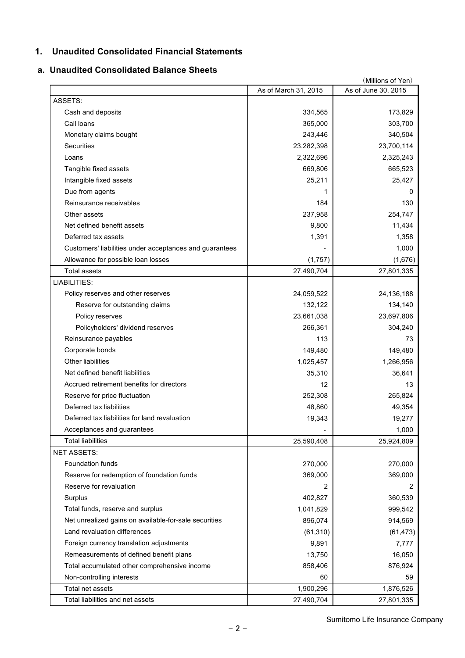### **1. Unaudited Consolidated Financial Statements**

### **a. Unaudited Consolidated Balance Sheets**

|                                                         |                      | (Millions of Yen)   |
|---------------------------------------------------------|----------------------|---------------------|
|                                                         | As of March 31, 2015 | As of June 30, 2015 |
| ASSETS:                                                 |                      |                     |
| Cash and deposits                                       | 334,565              | 173,829             |
| Call loans                                              | 365,000              | 303,700             |
| Monetary claims bought                                  | 243,446              | 340,504             |
| <b>Securities</b>                                       | 23,282,398           | 23,700,114          |
| Loans                                                   | 2,322,696            | 2,325,243           |
| Tangible fixed assets                                   | 669,806              | 665,523             |
| Intangible fixed assets                                 | 25,211               | 25,427              |
| Due from agents                                         | 1                    | 0                   |
| Reinsurance receivables                                 | 184                  | 130                 |
| Other assets                                            | 237,958              | 254,747             |
| Net defined benefit assets                              | 9,800                | 11,434              |
| Deferred tax assets                                     | 1,391                | 1,358               |
| Customers' liabilities under acceptances and guarantees |                      | 1,000               |
| Allowance for possible loan losses                      | (1,757)              | (1,676)             |
| <b>Total assets</b>                                     | 27,490,704           | 27,801,335          |
| LIABILITIES:                                            |                      |                     |
| Policy reserves and other reserves                      | 24,059,522           | 24, 136, 188        |
| Reserve for outstanding claims                          | 132,122              | 134,140             |
| Policy reserves                                         | 23,661,038           | 23,697,806          |
| Policyholders' dividend reserves                        | 266,361              | 304,240             |
| Reinsurance payables                                    | 113                  | 73                  |
| Corporate bonds                                         | 149,480              | 149,480             |
| Other liabilities                                       | 1,025,457            | 1,266,956           |
| Net defined benefit liabilities                         | 35,310               | 36,641              |
| Accrued retirement benefits for directors               | 12                   | 13                  |
| Reserve for price fluctuation                           | 252,308              | 265,824             |
| Deferred tax liabilities                                | 48,860               | 49,354              |
| Deferred tax liabilities for land revaluation           | 19,343               | 19,277              |
| Acceptances and guarantees                              |                      | 1,000               |
| <b>Total liabilities</b>                                | 25,590,408           | 25,924,809          |
| <b>NET ASSETS:</b>                                      |                      |                     |
| Foundation funds                                        | 270,000              | 270,000             |
| Reserve for redemption of foundation funds              | 369,000              | 369,000             |
| Reserve for revaluation                                 | 2                    | 2                   |
| Surplus                                                 | 402,827              | 360,539             |
| Total funds, reserve and surplus                        | 1,041,829            | 999,542             |
| Net unrealized gains on available-for-sale securities   | 896,074              | 914,569             |
| Land revaluation differences                            | (61, 310)            | (61, 473)           |
| Foreign currency translation adjustments                | 9,891                | 7,777               |
| Remeasurements of defined benefit plans                 | 13,750               | 16,050              |
| Total accumulated other comprehensive income            | 858,406              | 876,924             |
| Non-controlling interests                               | 60                   | 59                  |
| Total net assets                                        | 1,900,296            | 1,876,526           |
| Total liabilities and net assets                        | 27,490,704           | 27,801,335          |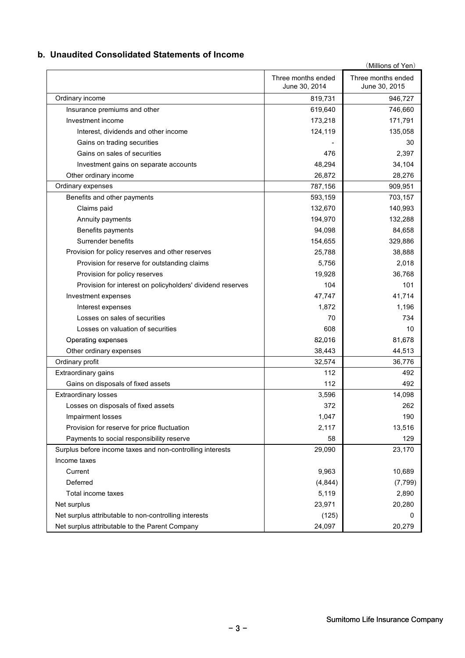### **b. Unaudited Consolidated Statements of Income**

| (Millions of Yen)                                          |                                     |                                     |  |  |  |
|------------------------------------------------------------|-------------------------------------|-------------------------------------|--|--|--|
|                                                            | Three months ended<br>June 30, 2014 | Three months ended<br>June 30, 2015 |  |  |  |
| Ordinary income                                            | 819,731                             | 946,727                             |  |  |  |
| Insurance premiums and other                               | 619,640                             | 746,660                             |  |  |  |
| Investment income                                          | 173,218                             | 171,791                             |  |  |  |
| Interest, dividends and other income                       | 124,119                             | 135,058                             |  |  |  |
| Gains on trading securities                                |                                     | 30                                  |  |  |  |
| Gains on sales of securities                               | 476                                 | 2,397                               |  |  |  |
| Investment gains on separate accounts                      | 48,294                              | 34,104                              |  |  |  |
| Other ordinary income                                      | 26,872                              | 28,276                              |  |  |  |
| Ordinary expenses                                          | 787,156                             | 909,951                             |  |  |  |
| Benefits and other payments                                | 593,159                             | 703,157                             |  |  |  |
| Claims paid                                                | 132,670                             | 140,993                             |  |  |  |
| Annuity payments                                           | 194,970                             | 132,288                             |  |  |  |
| Benefits payments                                          | 94,098                              | 84,658                              |  |  |  |
| Surrender benefits                                         | 154,655                             | 329,886                             |  |  |  |
| Provision for policy reserves and other reserves           | 25,788                              | 38,888                              |  |  |  |
| Provision for reserve for outstanding claims               | 5.756                               | 2,018                               |  |  |  |
| Provision for policy reserves                              | 19,928                              | 36,768                              |  |  |  |
| Provision for interest on policyholders' dividend reserves | 104                                 | 101                                 |  |  |  |
| Investment expenses                                        | 47,747                              | 41,714                              |  |  |  |
| Interest expenses                                          | 1,872                               | 1,196                               |  |  |  |
| Losses on sales of securities                              | 70                                  | 734                                 |  |  |  |
| Losses on valuation of securities                          | 608                                 | 10                                  |  |  |  |
| Operating expenses                                         | 82,016                              | 81,678                              |  |  |  |
| Other ordinary expenses                                    | 38,443                              | 44,513                              |  |  |  |
| Ordinary profit                                            | 32,574                              | 36,776                              |  |  |  |
| Extraordinary gains                                        | 112                                 | 492                                 |  |  |  |
| Gains on disposals of fixed assets                         | 112                                 | 492                                 |  |  |  |
| <b>Extraordinary losses</b>                                | 3,596                               | 14,098                              |  |  |  |
| Losses on disposals of fixed assets                        | 372                                 | 262                                 |  |  |  |
| Impairment losses                                          | 1,047                               | 190                                 |  |  |  |
| Provision for reserve for price fluctuation                | 2,117                               | 13,516                              |  |  |  |
| Payments to social responsibility reserve                  | 58                                  | 129                                 |  |  |  |
| Surplus before income taxes and non-controlling interests  | 29,090                              | 23,170                              |  |  |  |
| Income taxes                                               |                                     |                                     |  |  |  |
| Current                                                    | 9,963                               | 10,689                              |  |  |  |
| Deferred                                                   | (4, 844)                            | (7, 799)                            |  |  |  |
| Total income taxes                                         | 5,119                               | 2,890                               |  |  |  |
| Net surplus                                                | 23,971                              | 20,280                              |  |  |  |
| Net surplus attributable to non-controlling interests      | (125)                               | 0                                   |  |  |  |
| Net surplus attributable to the Parent Company             | 24,097                              | 20,279                              |  |  |  |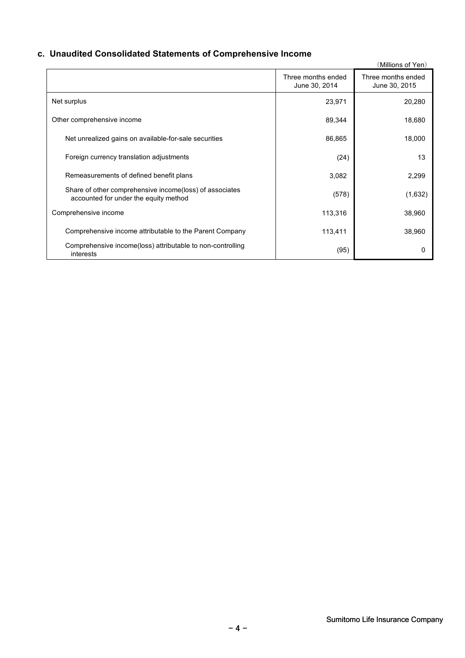## **c. Unaudited Consolidated Statements of Comprehensive Income**

|                                                                                                  |                                     | (Millions of Yen)                   |
|--------------------------------------------------------------------------------------------------|-------------------------------------|-------------------------------------|
|                                                                                                  | Three months ended<br>June 30, 2014 | Three months ended<br>June 30, 2015 |
| Net surplus                                                                                      | 23,971                              | 20,280                              |
| Other comprehensive income                                                                       | 89,344                              | 18,680                              |
| Net unrealized gains on available-for-sale securities                                            | 86,865                              | 18,000                              |
| Foreign currency translation adjustments                                                         | (24)                                | 13                                  |
| Remeasurements of defined benefit plans                                                          | 3,082                               | 2,299                               |
| Share of other comprehensive income(loss) of associates<br>accounted for under the equity method | (578)                               | (1,632)                             |
| Comprehensive income                                                                             | 113,316                             | 38,960                              |
| Comprehensive income attributable to the Parent Company                                          | 113,411                             | 38,960                              |
| Comprehensive income(loss) attributable to non-controlling<br>interests                          | (95)                                |                                     |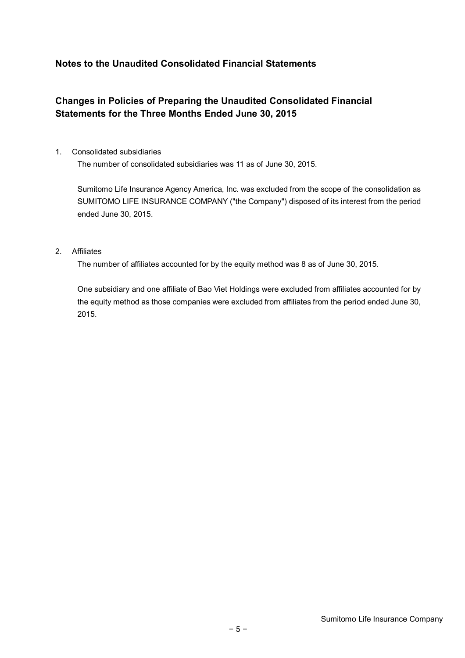## **Notes to the Unaudited Consolidated Financial Statements**

## **Changes in Policies of Preparing the Unaudited Consolidated Financial Statements for the Three Months Ended June 30, 2015**

1. Consolidated subsidiaries

The number of consolidated subsidiaries was 11 as of June 30, 2015.

Sumitomo Life Insurance Agency America, Inc. was excluded from the scope of the consolidation as SUMITOMO LIFE INSURANCE COMPANY ("the Company") disposed of its interest from the period ended June 30, 2015.

### 2. Affiliates

The number of affiliates accounted for by the equity method was 8 as of June 30, 2015.

One subsidiary and one affiliate of Bao Viet Holdings were excluded from affiliates accounted for by the equity method as those companies were excluded from affiliates from the period ended June 30, 2015.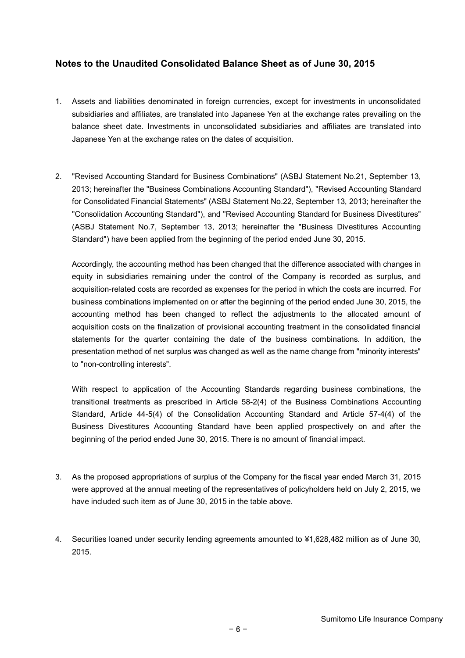### **Notes to the Unaudited Consolidated Balance Sheet as of June 30, 2015**

- 1. Assets and liabilities denominated in foreign currencies, except for investments in unconsolidated subsidiaries and affiliates, are translated into Japanese Yen at the exchange rates prevailing on the balance sheet date. Investments in unconsolidated subsidiaries and affiliates are translated into Japanese Yen at the exchange rates on the dates of acquisition.
- 2. "Revised Accounting Standard for Business Combinations" (ASBJ Statement No.21, September 13, 2013; hereinafter the "Business Combinations Accounting Standard"), "Revised Accounting Standard for Consolidated Financial Statements" (ASBJ Statement No.22, September 13, 2013; hereinafter the "Consolidation Accounting Standard"), and "Revised Accounting Standard for Business Divestitures" (ASBJ Statement No.7, September 13, 2013; hereinafter the "Business Divestitures Accounting Standard") have been applied from the beginning of the period ended June 30, 2015.

Accordingly, the accounting method has been changed that the difference associated with changes in equity in subsidiaries remaining under the control of the Company is recorded as surplus, and acquisition-related costs are recorded as expenses for the period in which the costs are incurred. For business combinations implemented on or after the beginning of the period ended June 30, 2015, the accounting method has been changed to reflect the adjustments to the allocated amount of acquisition costs on the finalization of provisional accounting treatment in the consolidated financial statements for the quarter containing the date of the business combinations. In addition, the presentation method of net surplus was changed as well as the name change from "minority interests" to "non-controlling interests".

With respect to application of the Accounting Standards regarding business combinations, the transitional treatments as prescribed in Article 58-2(4) of the Business Combinations Accounting Standard, Article 44-5(4) of the Consolidation Accounting Standard and Article 57-4(4) of the Business Divestitures Accounting Standard have been applied prospectively on and after the beginning of the period ended June 30, 2015. There is no amount of financial impact.

- 3. As the proposed appropriations of surplus of the Company for the fiscal year ended March 31, 2015 were approved at the annual meeting of the representatives of policyholders held on July 2, 2015, we have included such item as of June 30, 2015 in the table above.
- 4. Securities loaned under security lending agreements amounted to ¥1,628,482 million as of June 30, 2015.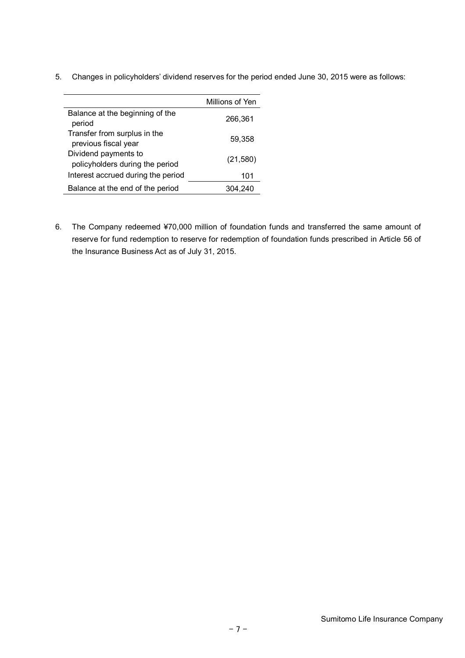5. Changes in policyholders' dividend reserves for the period ended June 30, 2015 were as follows:

|                                                         | Millions of Yen |
|---------------------------------------------------------|-----------------|
| Balance at the beginning of the<br>period               | 266,361         |
| Transfer from surplus in the<br>previous fiscal year    | 59,358          |
| Dividend payments to<br>policyholders during the period | (21,580)        |
| Interest accrued during the period                      | 101             |
| Balance at the end of the period                        | 304.240         |

6. The Company redeemed ¥70,000 million of foundation funds and transferred the same amount of reserve for fund redemption to reserve for redemption of foundation funds prescribed in Article 56 of the Insurance Business Act as of July 31, 2015.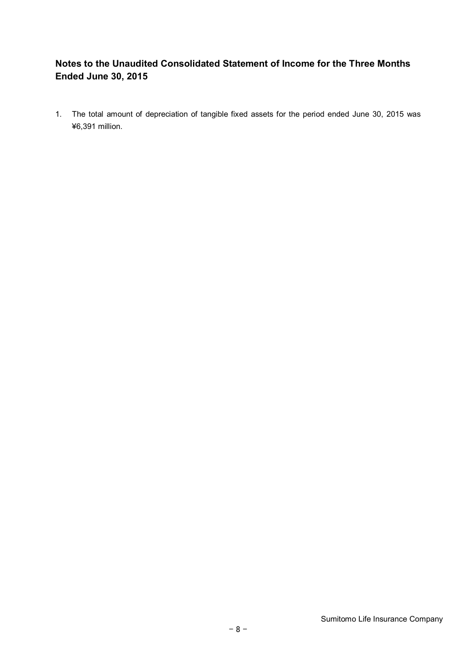## **Notes to the Unaudited Consolidated Statement of Income for the Three Months Ended June 30, 2015**

1. The total amount of depreciation of tangible fixed assets for the period ended June 30, 2015 was ¥6,391 million.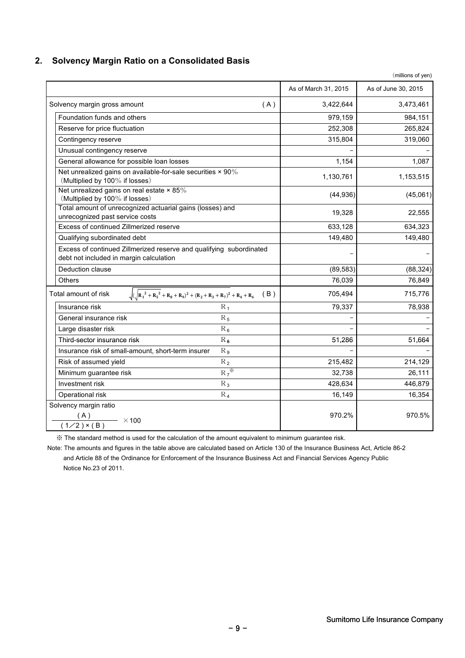### **2. Solvency Margin Ratio on a Consolidated Basis**

|                                                                                               |                                                                                     | As of March 31, 2015 | As of June 30, 2015 |
|-----------------------------------------------------------------------------------------------|-------------------------------------------------------------------------------------|----------------------|---------------------|
| Solvency margin gross amount                                                                  | (A)                                                                                 | 3,422,644            | 3,473,461           |
| Foundation funds and others                                                                   |                                                                                     | 979,159              | 984,151             |
| Reserve for price fluctuation                                                                 |                                                                                     | 252,308              | 265,824             |
| Contingency reserve                                                                           |                                                                                     | 315,804              | 319,060             |
| Unusual contingency reserve                                                                   |                                                                                     |                      |                     |
| General allowance for possible loan losses                                                    |                                                                                     | 1,154                | 1,087               |
| Net unrealized gains on available-for-sale securities × 90%<br>(Multiplied by 100% if losses) |                                                                                     | 1,130,761            | 1,153,515           |
| Net unrealized gains on real estate $\times$ 85%<br>(Multiplied by 100% if losses)            |                                                                                     | (44, 936)            | (45,061)            |
| Total amount of unrecognized actuarial gains (losses) and<br>unrecognized past service costs  |                                                                                     | 19,328               | 22,555              |
| Excess of continued Zillmerized reserve                                                       |                                                                                     | 633,128              | 634,323             |
| Qualifying subordinated debt                                                                  |                                                                                     | 149,480              | 149,480             |
| debt not included in margin calculation                                                       | Excess of continued Zillmerized reserve and qualifying subordinated                 |                      |                     |
| Deduction clause                                                                              |                                                                                     | (89, 583)            | (88, 324)           |
| Others                                                                                        |                                                                                     | 76,039               | 76,849              |
| Total amount of risk                                                                          | $\sqrt{(\sqrt{R_1^2 + R_5^2} + R_8 + R_9)^2 + (R_2 + R_3 + R_7)^2 + R_4 + R_6}$ (B) | 705,494              | 715,776             |
| Insurance risk                                                                                | $R_1$                                                                               | 79,337               | 78,938              |
| General insurance risk                                                                        | $R_5$                                                                               |                      |                     |
| Large disaster risk                                                                           | $R_6$                                                                               |                      |                     |
| Third-sector insurance risk                                                                   | $R_8$                                                                               | 51,286               | 51,664              |
| Insurance risk of small-amount, short-term insurer                                            | $R_9$                                                                               |                      |                     |
| Risk of assumed yield                                                                         | $R_2$                                                                               | 215,482              | 214,129             |
| Minimum guarantee risk                                                                        | $R_7^*$                                                                             | 32,738               | 26,111              |
| Investment risk                                                                               | $R_3$                                                                               | 428,634              | 446,879             |
| Operational risk                                                                              | $R_4$                                                                               | 16,149               | 16,354              |
| Solvency margin ratio<br>$\frac{1}{(1/2) \times (B)}$ × 100                                   |                                                                                     | 970.2%               | 970.5%              |

※ The standard method is used for the calculation of the amount equivalent to minimum guarantee risk.

Note: The amounts and figures in the table above are calculated based on Article 130 of the Insurance Business Act, Article 86-2 and Article 88 of the Ordinance for Enforcement of the Insurance Business Act and Financial Services Agency Public Notice No.23 of 2011.

(millions of yen)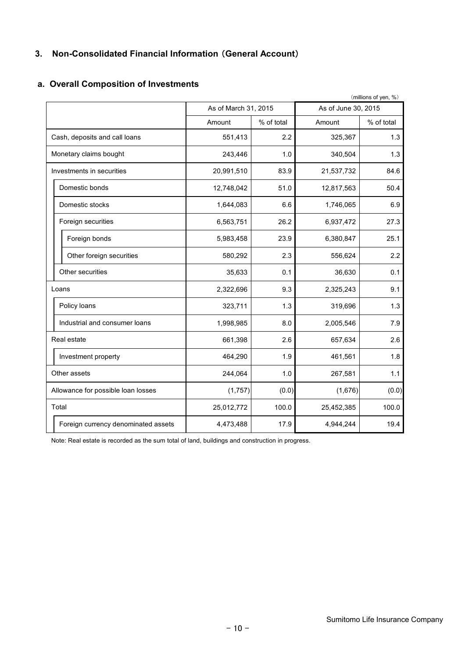## **3. Non-Consolidated Financial Information** (**General Account**)

|            |            |                      | (millions of yen, %) |  |
|------------|------------|----------------------|----------------------|--|
|            |            | As of June 30, 2015  |                      |  |
| Amount     | % of total | Amount               | % of total           |  |
| 551,413    | 2.2        | 325,367              | 1.3                  |  |
| 243,446    | 1.0        | 340,504              | 1.3                  |  |
| 20,991,510 | 83.9       | 21,537,732           | 84.6                 |  |
| 12,748,042 | 51.0       | 12,817,563           | 50.4                 |  |
| 1,644,083  | 6.6        | 1,746,065            | 6.9                  |  |
| 6,563,751  | 26.2       | 6,937,472            | 27.3                 |  |
| 5,983,458  | 23.9       | 6,380,847            | 25.1                 |  |
| 580,292    | 2.3        | 556,624              | 2.2                  |  |
| 35,633     | 0.1        | 36,630               | 0.1                  |  |
| 2,322,696  | 9.3        | 2,325,243            | 9.1                  |  |
| 323,711    | 1.3        | 319,696              | 1.3                  |  |
| 1,998,985  | 8.0        | 2,005,546            | 7.9                  |  |
| 661,398    | 2.6        | 657,634              | 2.6                  |  |
| 464,290    | 1.9        | 461,561              | 1.8                  |  |
| 244,064    | 1.0        | 267,581              | 1.1                  |  |
| (1,757)    | (0.0)      | (1,676)              | (0.0)                |  |
| 25,012,772 | 100.0      | 25,452,385           | 100.0                |  |
| 4,473,488  | 17.9       | 4,944,244            | 19.4                 |  |
|            |            | As of March 31, 2015 |                      |  |

### **a. Overall Composition of Investments**

Note: Real estate is recorded as the sum total of land, buildings and construction in progress.